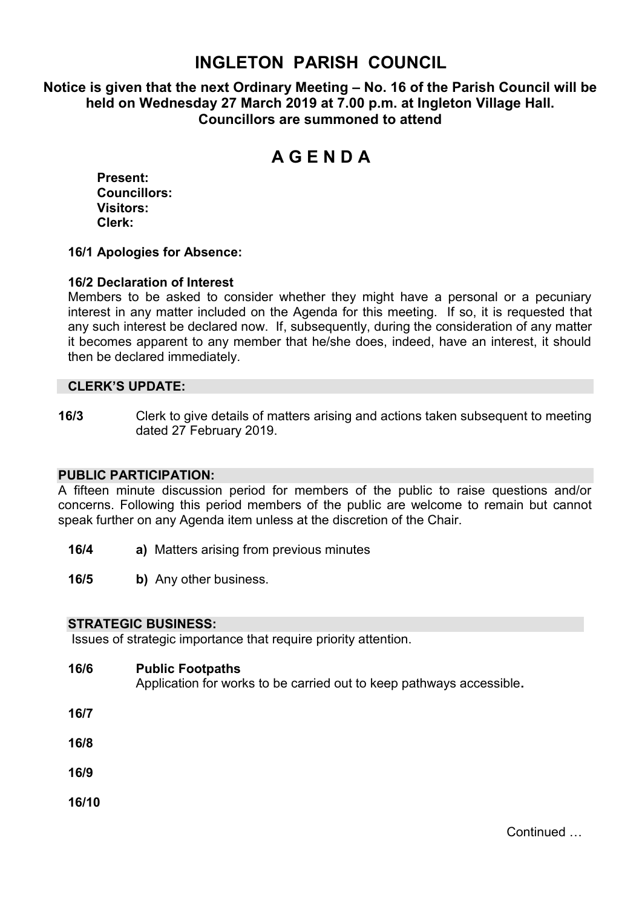## **INGLETON PARISH COUNCIL**

**Notice is given that the next Ordinary Meeting – No. 16 of the Parish Council will be held on Wednesday 27 March 2019 at 7.00 p.m. at Ingleton Village Hall. Councillors are summoned to attend**

# **A G E N D A**

**Present: Councillors: Visitors: Clerk:**

#### **16/1 Apologies for Absence:**

#### **16/2 Declaration of Interest**

Members to be asked to consider whether they might have a personal or a pecuniary interest in any matter included on the Agenda for this meeting. If so, it is requested that any such interest be declared now. If, subsequently, during the consideration of any matter it becomes apparent to any member that he/she does, indeed, have an interest, it should then be declared immediately.

#### **CLERK'S UPDATE:**

**16/3** Clerk to give details of matters arising and actions taken subsequent to meeting dated 27 February 2019.

#### **PUBLIC PARTICIPATION:**

A fifteen minute discussion period for members of the public to raise questions and/or concerns. Following this period members of the public are welcome to remain but cannot speak further on any Agenda item unless at the discretion of the Chair.

- **16/4 a)** Matters arising from previous minutes
- **16/5 b)** Any other business.

#### **STRATEGIC BUSINESS:**

Issues of strategic importance that require priority attention.

- **16/6 Public Footpaths**  Application for works to be carried out to keep pathways accessible**.**
- **16/7**
- **16/8**
- **16/9**
- **16/10**